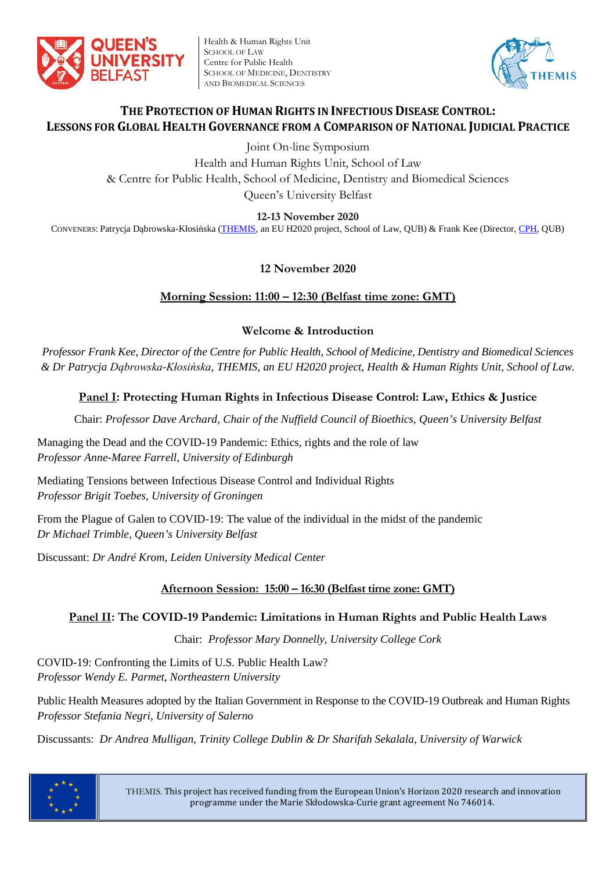

Health & Human Rights Unit SCHOOL OF LAW Centre for Public Health SCHOOL OF MEDICINE, DENTISTRY AND BIOMEDICAL SCIENCES



# **THE PROTECTION OF HUMAN RIGHTS IN INFECTIOUS DISEASE CONTROL: LESSONS FOR GLOBAL HEALTH GOVERNANCE FROM A COMPARISON OF NATIONAL JUDICIAL PRACTICE**

Joint On-line Symposium

Health and Human Rights Unit, School of Law & Centre for Public Health, School of Medicine, Dentistry and Biomedical Sciences Queen's University Belfast

**12-13 November 2020**

CONVENERS: Patrycja Dąbrowska-Kłosińska [\(THEMIS,](http://law.qub.ac.uk/schools/SchoolofLaw/research/research-projects/project-sites/themis-project/) an EU H2020 project, School of Law, QUB) & Frank Kee (Director, [CPH,](https://www.qub.ac.uk/research-centres/CentreforPublicHealth/) QUB)

# **12 November 2020**

# **Morning Session: 11:00 – 12:30 (Belfast time zone: GMT)**

## **Welcome & Introduction**

*Professor Frank Kee, Director of the Centre for Public Health, School of Medicine, Dentistry and Biomedical Sciences & Dr Patrycja Dąbrowska-Kłosińska, THEMIS, an EU H2020 project, Health & Human Rights Unit, School of Law.*

# **Panel I: Protecting Human Rights in Infectious Disease Control: Law, Ethics & Justice**

Chair: *Professor Dave Archard, Chair of the Nuffield Council of Bioethics, Queen's University Belfast*

Managing the Dead and the COVID-19 Pandemic: Ethics, rights and the role of law *Professor Anne-Maree Farrell, University of Edinburgh*

Mediating Tensions between Infectious Disease Control and Individual Rights *Professor Brigit Toebes, University of Groningen*

From the Plague of Galen to COVID-19: The value of the individual in the midst of the pandemic *Dr Michael Trimble, Queen's University Belfast*

Discussant: *Dr André Krom, Leiden University Medical Center*

# **Afternoon Session: 15:00 – 16:30 (Belfast time zone: GMT)**

## **Panel II: The COVID-19 Pandemic: Limitations in Human Rights and Public Health Laws**

Chair: *Professor Mary Donnelly, University College Cork*

COVID-19: Confronting the Limits of U.S. Public Health Law? *Professor Wendy E. Parmet, Northeastern University*

Public Health Measures adopted by the Italian Government in Response to the COVID-19 Outbreak and Human Rights *Professor Stefania Negri, University of Salerno*

Discussants: *Dr Andrea Mulligan, Trinity College Dublin & Dr Sharifah Sekalala, University of Warwick*